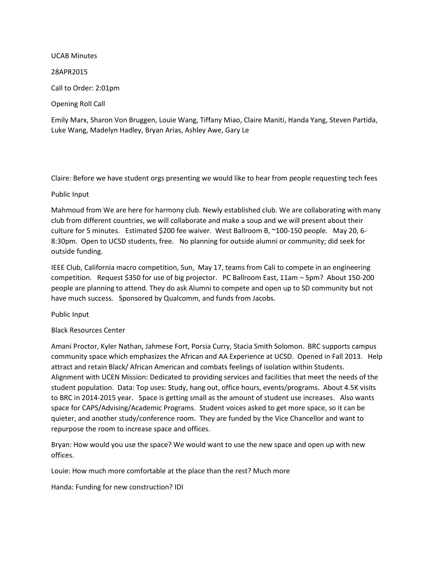#### UCAB Minutes

28APR2015

Call to Order: 2:01pm

Opening Roll Call

Emily Marx, Sharon Von Bruggen, Louie Wang, Tiffany Miao, Claire Maniti, Handa Yang, Steven Partida, Luke Wang, Madelyn Hadley, Bryan Arias, Ashley Awe, Gary Le

Claire: Before we have student orgs presenting we would like to hear from people requesting tech fees

# Public Input

Mahmoud from We are here for harmony club. Newly established club. We are collaborating with many club from different countries, we will collaborate and make a soup and we will present about their culture for 5 minutes. Estimated \$200 fee waiver. West Ballroom B, ~100-150 people. May 20, 6- 8:30pm. Open to UCSD students, free. No planning for outside alumni or community; did seek for outside funding.

IEEE Club, California macro competition, Sun, May 17, teams from Cali to compete in an engineering competition. Request \$350 for use of big projector. PC Ballroom East, 11am – 5pm? About 150-200 people are planning to attend. They do ask Alumni to compete and open up to SD community but not have much success. Sponsored by Qualcomm, and funds from Jacobs.

Public Input

# Black Resources Center

Amani Proctor, Kyler Nathan, Jahmese Fort, Porsia Curry, Stacia Smith Solomon. BRC supports campus community space which emphasizes the African and AA Experience at UCSD. Opened in Fall 2013. Help attract and retain Black/ African American and combats feelings of isolation within Students. Alignment with UCEN Mission: Dedicated to providing services and facilities that meet the needs of the student population. Data: Top uses: Study, hang out, office hours, events/programs. About 4.5K visits to BRC in 2014-2015 year. Space is getting small as the amount of student use increases. Also wants space for CAPS/Advising/Academic Programs. Student voices asked to get more space, so it can be quieter, and another study/conference room. They are funded by the Vice Chancellor and want to repurpose the room to increase space and offices.

Bryan: How would you use the space? We would want to use the new space and open up with new offices.

Louie: How much more comfortable at the place than the rest? Much more

Handa: Funding for new construction? IDI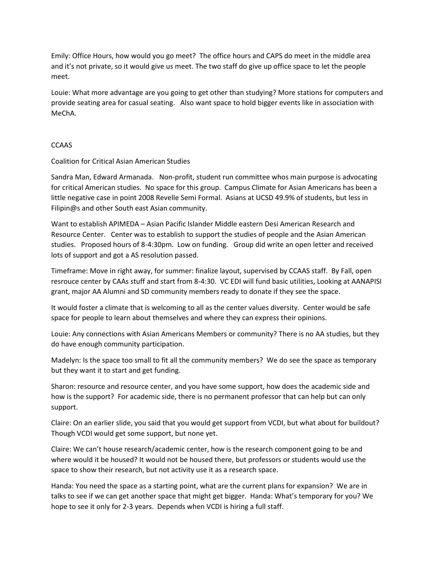Emily: Office Hours, how would you go meet? The office hours and CAPS do meet in the middle area and it's not private, so it would give us meet. The two staff do give up office space to let the people meet.

Louie: What more advantage are you going to get other than studying? More stations for computers and provide seating area for casual seating. Also want space to hold bigger events like in association with MeChA.

# **CCAAS**

Coalition for Critical Asian American Studies

Sandra Man, Edward Armanada. Non-profit, student run committee whos main purpose is advocating for critical American studies. No space for this group. Campus Climate for Asian Americans has been a little negative case in point 2008 Revelle Semi Formal. Asians at UCSD 49.9% of students, but less in Filipin@s and other South east Asian community.

Want to establish APIMEDA – Asian Pacific Islander Middle eastern Desi American Research and Resource Center. Center was to establish to support the studies of people and the Asian American studies. Proposed hours of 8-4:30pm. Low on funding. Group did write an open letter and received lots of support and got a AS resolution passed.

Timeframe: Move in right away, for summer: finalize layout, supervised by CCAAS staff. By Fall, open resrouce center by CAAs stuff and start from 8-4:30. VC EDI will fund basic utilities, Looking at AANAPISI grant, major AA Alumni and SD community members ready to donate if they see the space.

It would foster a climate that is welcoming to all as the center values diversity. Center would be safe space for people to learn about themselves and where they can express their opinions.

Louie: Any connections with Asian Americans Members or community? There is no AA studies, but they do have enough community participation.

Madelyn: Is the space too small to fit all the community members? We do see the space as temporary but they want it to start and get funding.

Sharon: resource and resource center, and you have some support, how does the academic side and how is the support? For academic side, there is no permanent professor that can help but can only support.

Claire: On an earlier slide, you said that you would get support from VCDI, but what about for buildout? Though VCDI would get some support, but none yet.

Claire: We can't house research/academic center, how is the research component going to be and where would it be housed? It would not be housed there, but professors or students would use the space to show their research, but not activity use it as a research space.

Handa: You need the space as a starting point, what are the current plans for expansion? We are in talks to see if we can get another space that might get bigger. Handa: What's temporary for you? We hope to see it only for 2-3 years. Depends when VCDI is hiring a full staff.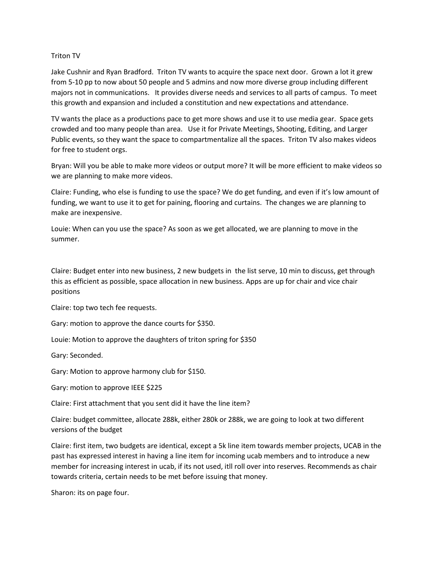#### Triton TV

Jake Cushnir and Ryan Bradford. Triton TV wants to acquire the space next door. Grown a lot it grew from 5-10 pp to now about 50 people and 5 admins and now more diverse group including different majors not in communications. It provides diverse needs and services to all parts of campus. To meet this growth and expansion and included a constitution and new expectations and attendance.

TV wants the place as a productions pace to get more shows and use it to use media gear. Space gets crowded and too many people than area. Use it for Private Meetings, Shooting, Editing, and Larger Public events, so they want the space to compartmentalize all the spaces. Triton TV also makes videos for free to student orgs.

Bryan: Will you be able to make more videos or output more? It will be more efficient to make videos so we are planning to make more videos.

Claire: Funding, who else is funding to use the space? We do get funding, and even if it's low amount of funding, we want to use it to get for paining, flooring and curtains. The changes we are planning to make are inexpensive.

Louie: When can you use the space? As soon as we get allocated, we are planning to move in the summer.

Claire: Budget enter into new business, 2 new budgets in the list serve, 10 min to discuss, get through this as efficient as possible, space allocation in new business. Apps are up for chair and vice chair positions

Claire: top two tech fee requests.

Gary: motion to approve the dance courts for \$350.

Louie: Motion to approve the daughters of triton spring for \$350

Gary: Seconded.

Gary: Motion to approve harmony club for \$150.

Gary: motion to approve IEEE \$225

Claire: First attachment that you sent did it have the line item?

Claire: budget committee, allocate 288k, either 280k or 288k, we are going to look at two different versions of the budget

Claire: first item, two budgets are identical, except a 5k line item towards member projects, UCAB in the past has expressed interest in having a line item for incoming ucab members and to introduce a new member for increasing interest in ucab, if its not used, itll roll over into reserves. Recommends as chair towards criteria, certain needs to be met before issuing that money.

Sharon: its on page four.